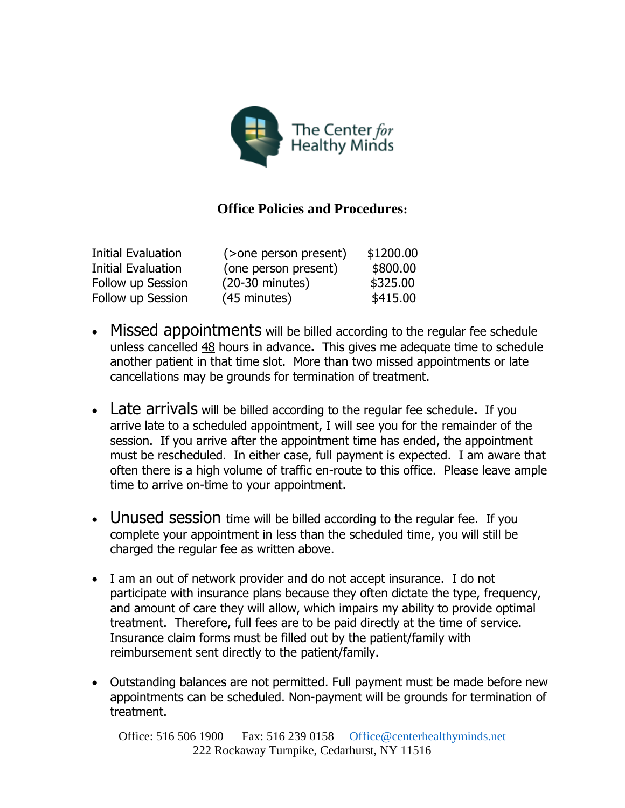

## **Office Policies and Procedures:**

| <b>Initial Evaluation</b> | (>one person present)     | \$1200.00 |
|---------------------------|---------------------------|-----------|
| Initial Evaluation        | (one person present)      | \$800.00  |
| Follow up Session         | $(20-30 \text{ minutes})$ | \$325.00  |
| Follow up Session         | (45 minutes)              | \$415.00  |

- Missed appointments will be billed according to the regular fee schedule unless cancelled 48 hours in advance**.** This gives me adequate time to schedule another patient in that time slot. More than two missed appointments or late cancellations may be grounds for termination of treatment.
- Late arrivals will be billed according to the regular fee schedule**.** If you arrive late to a scheduled appointment, I will see you for the remainder of the session. If you arrive after the appointment time has ended, the appointment must be rescheduled. In either case, full payment is expected. I am aware that often there is a high volume of traffic en-route to this office. Please leave ample time to arrive on-time to your appointment.
- Unused session time will be billed according to the regular fee. If you complete your appointment in less than the scheduled time, you will still be charged the regular fee as written above.
- I am an out of network provider and do not accept insurance. I do not participate with insurance plans because they often dictate the type, frequency, and amount of care they will allow, which impairs my ability to provide optimal treatment. Therefore, full fees are to be paid directly at the time of service. Insurance claim forms must be filled out by the patient/family with reimbursement sent directly to the patient/family.
- Outstanding balances are not permitted. Full payment must be made before new appointments can be scheduled. Non-payment will be grounds for termination of treatment.

Office: 516 506 1900 Fax: 516 239 0158 [Office@centerhealthyminds.net](mailto:Office@centerhealthyminds.net) 222 Rockaway Turnpike, Cedarhurst, NY 11516